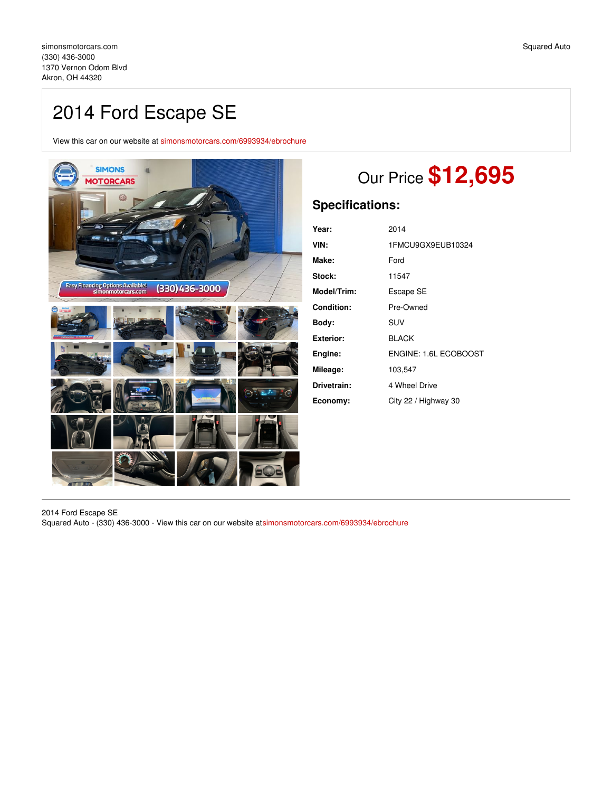# 2014 Ford Escape SE

View this car on our website at [simonsmotorcars.com/6993934/ebrochure](https://simonsmotorcars.com/vehicle/6993934/2014-ford-escape-se-akron-oh-44320/6993934/ebrochure)



# Our Price **\$12,695**

# **Specifications:**

| Year:              | 2014                  |
|--------------------|-----------------------|
| VIN:               | 1FMCU9GX9EUB10324     |
| Make:              | Ford                  |
| Stock:             | 11547                 |
| <b>Model/Trim:</b> | Escape SE             |
| Condition:         | Pre-Owned             |
| Bodv:              | SUV                   |
| Exterior:          | <b>BLACK</b>          |
| Engine:            | ENGINE: 1.6L ECOBOOST |
| Mileage:           | 103,547               |
| Drivetrain:        | 4 Wheel Drive         |
| Economy:           | City 22 / Highway 30  |

2014 Ford Escape SE

Squared Auto - (330) 436-3000 - View this car on our website a[tsimonsmotorcars.com/6993934/ebrochure](https://simonsmotorcars.com/vehicle/6993934/2014-ford-escape-se-akron-oh-44320/6993934/ebrochure)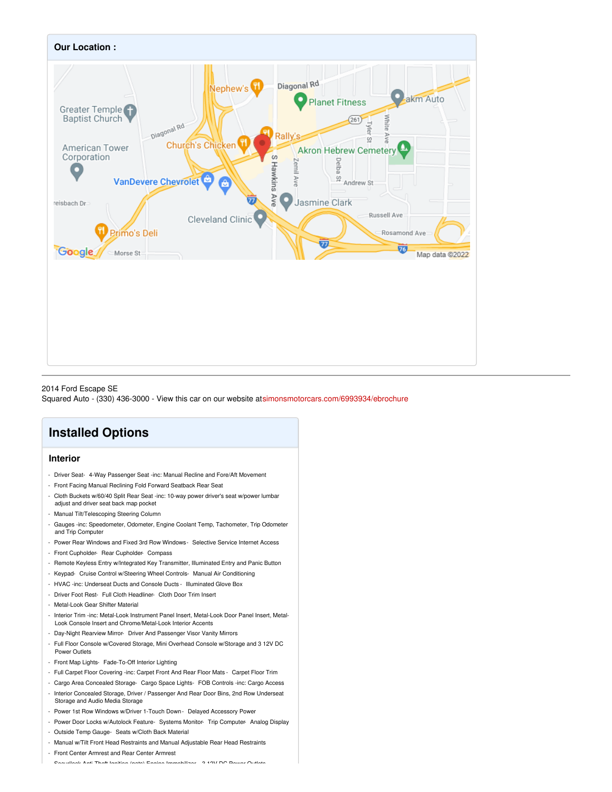

### 2014 Ford Escape SE

Squared Auto - (330) 436-3000 - View this car on our website a[tsimonsmotorcars.com/6993934/ebrochure](https://simonsmotorcars.com/vehicle/6993934/2014-ford-escape-se-akron-oh-44320/6993934/ebrochure)

# **Installed Options**

## **Interior**

- Driver Seat- 4-Way Passenger Seat -inc: Manual Recline and Fore/Aft Movement
- Front Facing Manual Reclining Fold Forward Seatback Rear Seat
- Cloth Buckets w/60/40 Split Rear Seat -inc: 10-way power driver's seat w/power lumbar adjust and driver seat back map pocket
- Manual Tilt/Telescoping Steering Column
- Gauges -inc: Speedometer, Odometer, Engine Coolant Temp, Tachometer, Trip Odometer and Trip Computer
- Power Rear Windows and Fixed 3rd Row Windows- Selective Service Internet Access
- Front Cupholder- Rear Cupholder- Compass
- Remote Keyless Entry w/Integrated Key Transmitter, Illuminated Entry and Panic Button
- Keypad- Cruise Control w/Steering Wheel Controls- Manual Air Conditioning
- HVAC -inc: Underseat Ducts and Console Ducts Illuminated Glove Box
- Driver Foot Rest- Full Cloth Headliner- Cloth Door Trim Insert
- Metal-Look Gear Shifter Material
- Interior Trim -inc: Metal-Look Instrument Panel Insert, Metal-Look Door Panel Insert, Metal-Look Console Insert and Chrome/Metal-Look Interior Accents
- Day-Night Rearview Mirror- Driver And Passenger Visor Vanity Mirrors
- Full Floor Console w/Covered Storage, Mini Overhead Console w/Storage and 3 12V DC Power Outlets
- Front Map Lights- Fade-To-Off Interior Lighting
- Full Carpet Floor Covering -inc: Carpet Front And Rear Floor Mats Carpet Floor Trim
- Cargo Area Concealed Storage- Cargo Space Lights- FOB Controls -inc: Cargo Access
- Interior Concealed Storage, Driver / Passenger And Rear Door Bins, 2nd Row Underseat Storage and Audio Media Storage
- Power 1st Row Windows w/Driver 1-Touch Down Delayed Accessory Power
- Power Door Locks w/Autolock Feature- Systems Monitor- Trip Computer- Analog Display - Outside Temp Gauge- Seats w/Cloth Back Material
- Manual w/Tilt Front Head Restraints and Manual Adjustable Rear Head Restraints
- Front Center Armrest and Rear Center Armrest
- Securilock Anti-Theft Ignition (pats) Engine Immobilizer- 3 12V DC Power Outlets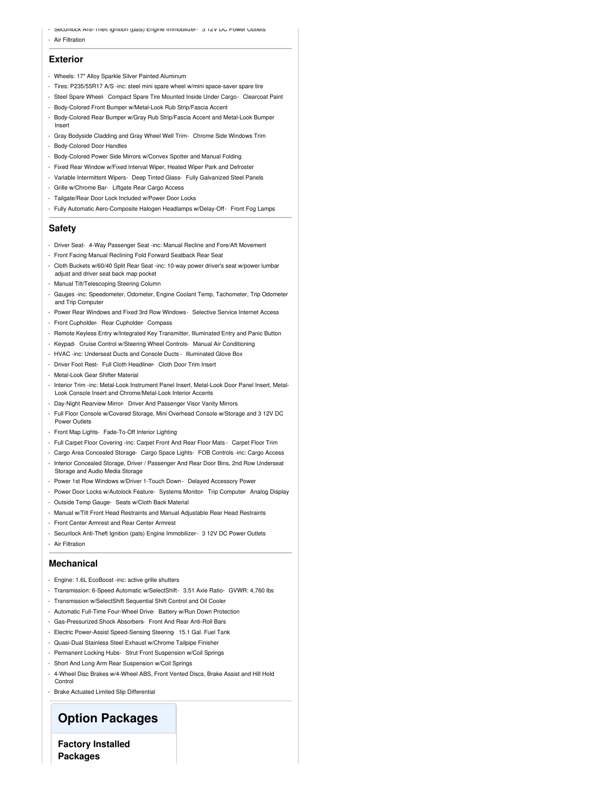- Securilock Anti-Theft Ignition (pats) Engine Immobilizer- 3 12V DC Power Outlets
- Air Filtration

### **Exterior**

- Wheels: 17" Alloy Sparkle Silver Painted Aluminum
- Tires: P235/55R17 A/S -inc: steel mini spare wheel w/mini space-saver spare tire
- Steel Spare Wheel- Compact Spare Tire Mounted Inside Under Cargo- Clearcoat Paint
- Body-Colored Front Bumper w/Metal-Look Rub Strip/Fascia Accent
- Body-Colored Rear Bumper w/Gray Rub Strip/Fascia Accent and Metal-Look Bumper Insert
- Gray Bodyside Cladding and Gray Wheel Well Trim- Chrome Side Windows Trim
- Body-Colored Door Handles
- Body-Colored Power Side Mirrors w/Convex Spotter and Manual Folding
- Fixed Rear Window w/Fixed Interval Wiper, Heated Wiper Park and Defroster
- Variable Intermittent Wipers- Deep Tinted Glass- Fully Galvanized Steel Panels
- Grille w/Chrome Bar- Liftgate Rear Cargo Access
- Tailgate/Rear Door Lock Included w/Power Door Locks
- Fully Automatic Aero-Composite Halogen Headlamps w/Delay-Off- Front Fog Lamps

### **Safety**

- Driver Seat- 4-Way Passenger Seat -inc: Manual Recline and Fore/Aft Movement
- Front Facing Manual Reclining Fold Forward Seatback Rear Seat
- Cloth Buckets w/60/40 Split Rear Seat -inc: 10-way power driver's seat w/power lumbar adjust and driver seat back map pocket
- Manual Tilt/Telescoping Steering Column
- Gauges -inc: Speedometer, Odometer, Engine Coolant Temp, Tachometer, Trip Odometer and Trip Computer
- Power Rear Windows and Fixed 3rd Row Windows- Selective Service Internet Access
- Front Cupholder- Rear Cupholder- Compass
- Remote Keyless Entry w/Integrated Key Transmitter, Illuminated Entry and Panic Button
- Keypad- Cruise Control w/Steering Wheel Controls- Manual Air Conditioning
- HVAC -inc: Underseat Ducts and Console Ducts Illuminated Glove Box
- Driver Foot Rest- Full Cloth Headliner- Cloth Door Trim Insert
- Metal-Look Gear Shifter Materi
- Interior Trim -inc: Metal-Look Instrument Panel Insert, Metal-Look Door Panel Insert, Metal-Look Console Insert and Chrome/Metal-Look Interior Accents
- Day-Night Rearview Mirror- Driver And Passenger Visor Vanity Mirrors
- Full Floor Console w/Covered Storage, Mini Overhead Console w/Storage and 3 12V DC Power Outlets
- Front Map Lights- Fade-To-Off Interior Lighting
- Full Carpet Floor Covering -inc: Carpet Front And Rear Floor Mats Carpet Floor Trim
- Cargo Area Concealed Storage- Cargo Space Lights- FOB Controls -inc: Cargo Access
- Interior Concealed Storage, Driver / Passenger And Rear Door Bins, 2nd Row Underseat Storage and Audio Media Storage
- Power 1st Row Windows w/Driver 1-Touch Down Delayed Accessory Power
- Power Door Locks w/Autolock Feature- Systems Monitor- Trip Computer- Analog Display
- Outside Temp Gauge- Seats w/Cloth Back Material
- Manual w/Tilt Front Head Restraints and Manual Adjustable Rear Head Restraints
- Front Center Armrest and Rear Center Armrest
- Securilock Anti-Theft Ignition (pats) Engine Immobilizer- 3 12V DC Power Outlets
- Air Filtration

## **Mechanical**

- Engine: 1.6L EcoBoost -inc: active grille shutters
- Transmission: 6-Speed Automatic w/SelectShift- 3.51 Axle Ratio- GVWR: 4,760 lbs
- Transmission w/SelectShift Sequential Shift Control and Oil Cooler
- Automatic Full-Time Four-Wheel Drive- Battery w/Run Down Protection
- Gas-Pressurized Shock Absorbers- Front And Rear Anti-Roll Bars
- Electric Power-Assist Speed-Sensing Steering- 15.1 Gal. Fuel Tank
- Quasi-Dual Stainless Steel Exhaust w/Chrome Tailpipe Finisher
- Permanent Locking Hubs- Strut Front Suspension w/Coil Springs
- Short And Long Arm Rear Suspension w/Coil Springs
- 4-Wheel Disc Brakes w/4-Wheel ABS, Front Vented Discs, Brake Assist and Hill Hold **Control**
- Brake Actuated Limited Slip Differential

## **Option Packages**

**Factory Installed Packages**